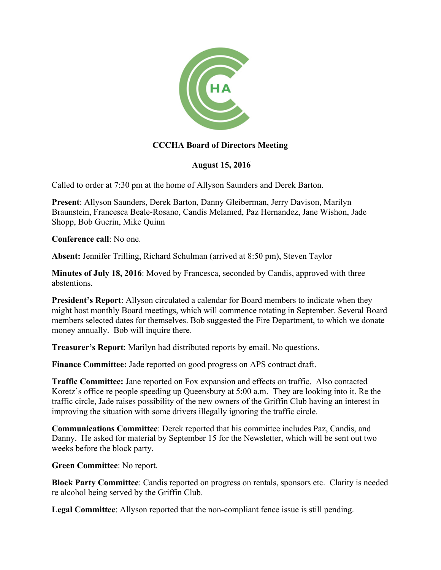

## **CCCHA Board of Directors Meeting**

## **August 15, 2016**

Called to order at 7:30 pm at the home of Allyson Saunders and Derek Barton.

**Present**: Allyson Saunders, Derek Barton, Danny Gleiberman, Jerry Davison, Marilyn Braunstein, Francesca Beale-Rosano, Candis Melamed, Paz Hernandez, Jane Wishon, Jade Shopp, Bob Guerin, Mike Quinn

**Conference call**: No one.

**Absent:** Jennifer Trilling, Richard Schulman (arrived at 8:50 pm), Steven Taylor

**Minutes of July 18, 2016**: Moved by Francesca, seconded by Candis, approved with three abstentions.

**President's Report**: Allyson circulated a calendar for Board members to indicate when they might host monthly Board meetings, which will commence rotating in September. Several Board members selected dates for themselves. Bob suggested the Fire Department, to which we donate money annually. Bob will inquire there.

**Treasurer's Report**: Marilyn had distributed reports by email. No questions.

**Finance Committee:** Jade reported on good progress on APS contract draft.

**Traffic Committee:** Jane reported on Fox expansion and effects on traffic. Also contacted Koretz's office re people speeding up Queensbury at 5:00 a.m. They are looking into it. Re the traffic circle, Jade raises possibility of the new owners of the Griffin Club having an interest in improving the situation with some drivers illegally ignoring the traffic circle.

**Communications Committee**: Derek reported that his committee includes Paz, Candis, and Danny. He asked for material by September 15 for the Newsletter, which will be sent out two weeks before the block party.

**Green Committee**: No report.

**Block Party Committee**: Candis reported on progress on rentals, sponsors etc. Clarity is needed re alcohol being served by the Griffin Club.

**Legal Committee**: Allyson reported that the non-compliant fence issue is still pending.